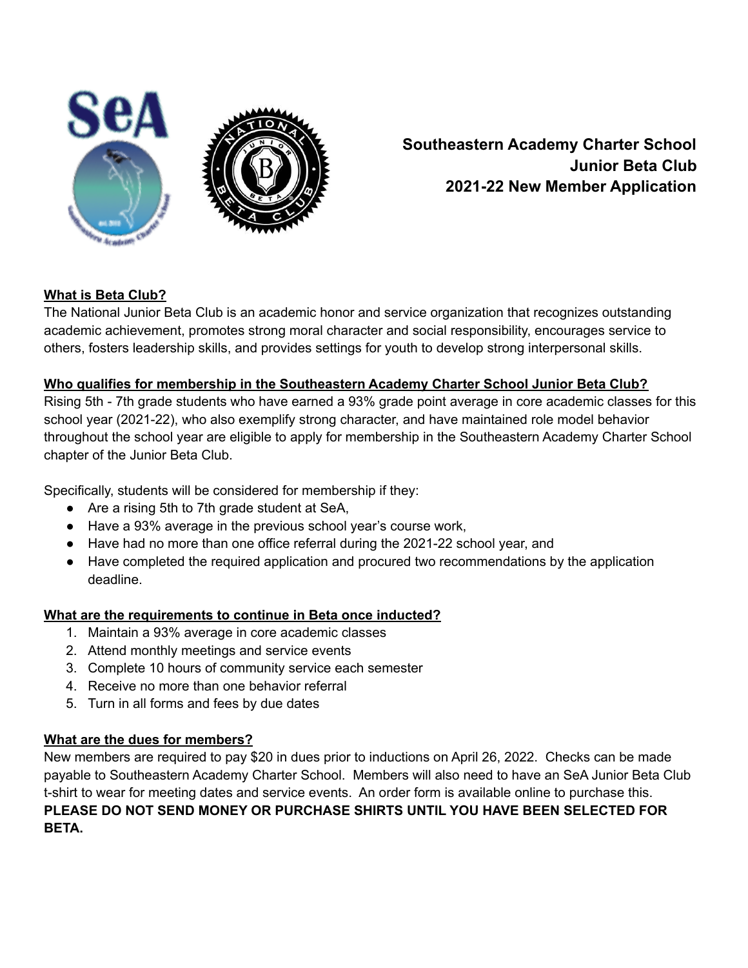

**Southeastern Academy Charter School Junior Beta Club 2021-22 New Member Application**

# **What is Beta Club?**

The National Junior Beta Club is an academic honor and service organization that recognizes outstanding academic achievement, promotes strong moral character and social responsibility, encourages service to others, fosters leadership skills, and provides settings for youth to develop strong interpersonal skills.

# **Who qualifies for membership in the Southeastern Academy Charter School Junior Beta Club?**

Rising 5th - 7th grade students who have earned a 93% grade point average in core academic classes for this school year (2021-22), who also exemplify strong character, and have maintained role model behavior throughout the school year are eligible to apply for membership in the Southeastern Academy Charter School chapter of the Junior Beta Club.

Specifically, students will be considered for membership if they:

- Are a rising 5th to 7th grade student at SeA,
- Have a 93% average in the previous school year's course work,
- Have had no more than one office referral during the 2021-22 school year, and
- Have completed the required application and procured two recommendations by the application deadline.

# **What are the requirements to continue in Beta once inducted?**

- 1. Maintain a 93% average in core academic classes
- 2. Attend monthly meetings and service events
- 3. Complete 10 hours of community service each semester
- 4. Receive no more than one behavior referral
- 5. Turn in all forms and fees by due dates

# **What are the dues for members?**

New members are required to pay \$20 in dues prior to inductions on April 26, 2022. Checks can be made payable to Southeastern Academy Charter School. Members will also need to have an SeA Junior Beta Club t-shirt to wear for meeting dates and service events. An order form is available online to purchase this. **PLEASE DO NOT SEND MONEY OR PURCHASE SHIRTS UNTIL YOU HAVE BEEN SELECTED FOR BETA.**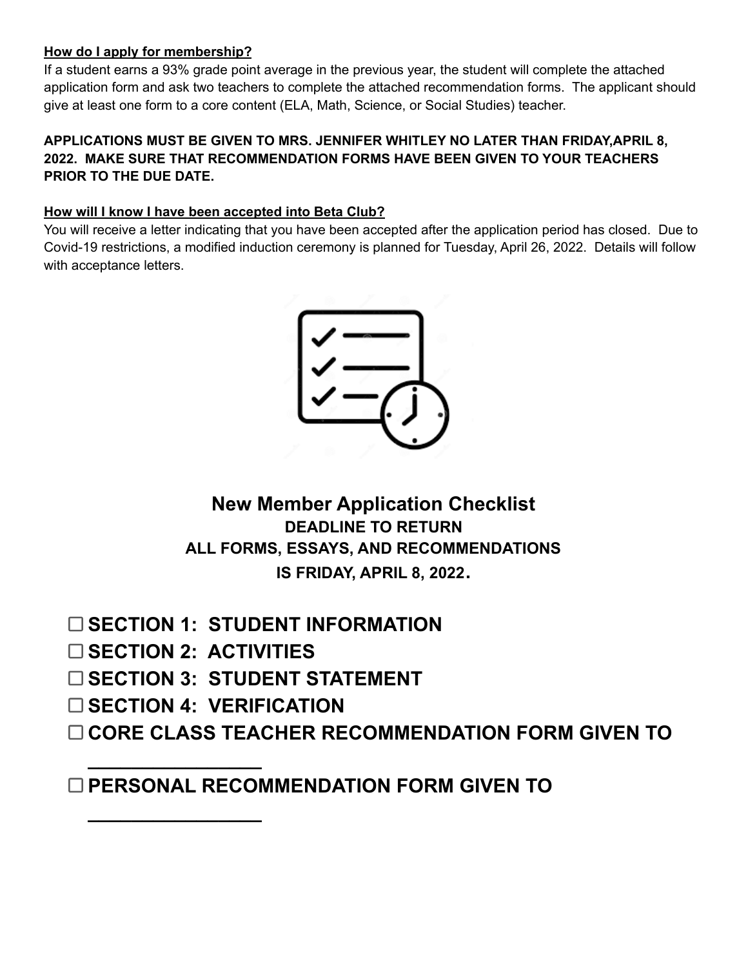# **How do I apply for membership?**

If a student earns a 93% grade point average in the previous year, the student will complete the attached application form and ask two teachers to complete the attached recommendation forms. The applicant should give at least one form to a core content (ELA, Math, Science, or Social Studies) teacher.

# **APPLICATIONS MUST BE GIVEN TO MRS. JENNIFER WHITLEY NO LATER THAN FRIDAY,APRIL 8, 2022. MAKE SURE THAT RECOMMENDATION FORMS HAVE BEEN GIVEN TO YOUR TEACHERS PRIOR TO THE DUE DATE.**

# **How will I know I have been accepted into Beta Club?**

You will receive a letter indicating that you have been accepted after the application period has closed. Due to Covid-19 restrictions, a modified induction ceremony is planned for Tuesday, April 26, 2022. Details will follow with acceptance letters.



**New Member Application Checklist DEADLINE TO RETURN ALL FORMS, ESSAYS, AND RECOMMENDATIONS IS FRIDAY, APRIL 8, 2022.**

- **SECTION 1: STUDENT INFORMATION**
- **SECTION 2: ACTIVITIES**

**\_\_\_\_\_\_\_\_\_\_\_\_\_\_\_\_**

**\_\_\_\_\_\_\_\_\_\_\_\_\_\_\_\_**

- **SECTION 3: STUDENT STATEMENT**
- **SECTION 4: VERIFICATION**
- **CORE CLASS TEACHER RECOMMENDATION FORM GIVEN TO**

**PERSONAL RECOMMENDATION FORM GIVEN TO**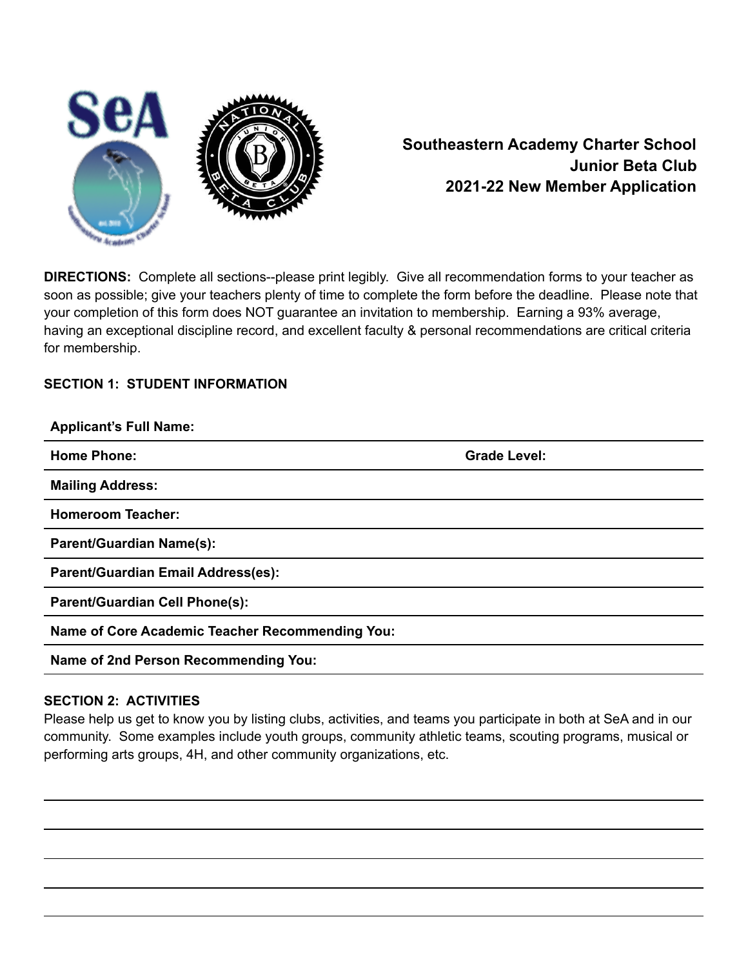

# **Southeastern Academy Charter School Junior Beta Club 2021-22 New Member Application**

**DIRECTIONS:** Complete all sections--please print legibly. Give all recommendation forms to your teacher as soon as possible; give your teachers plenty of time to complete the form before the deadline. Please note that your completion of this form does NOT guarantee an invitation to membership. Earning a 93% average, having an exceptional discipline record, and excellent faculty & personal recommendations are critical criteria for membership.

# **SECTION 1: STUDENT INFORMATION**

| <b>Applicant's Full Name:</b>                   |                     |
|-------------------------------------------------|---------------------|
| <b>Home Phone:</b>                              | <b>Grade Level:</b> |
| <b>Mailing Address:</b>                         |                     |
| <b>Homeroom Teacher:</b>                        |                     |
| <b>Parent/Guardian Name(s):</b>                 |                     |
| <b>Parent/Guardian Email Address(es):</b>       |                     |
| <b>Parent/Guardian Cell Phone(s):</b>           |                     |
| Name of Core Academic Teacher Recommending You: |                     |
| Name of 2nd Person Recommending You:            |                     |

### **SECTION 2: ACTIVITIES**

Please help us get to know you by listing clubs, activities, and teams you participate in both at SeA and in our community. Some examples include youth groups, community athletic teams, scouting programs, musical or performing arts groups, 4H, and other community organizations, etc.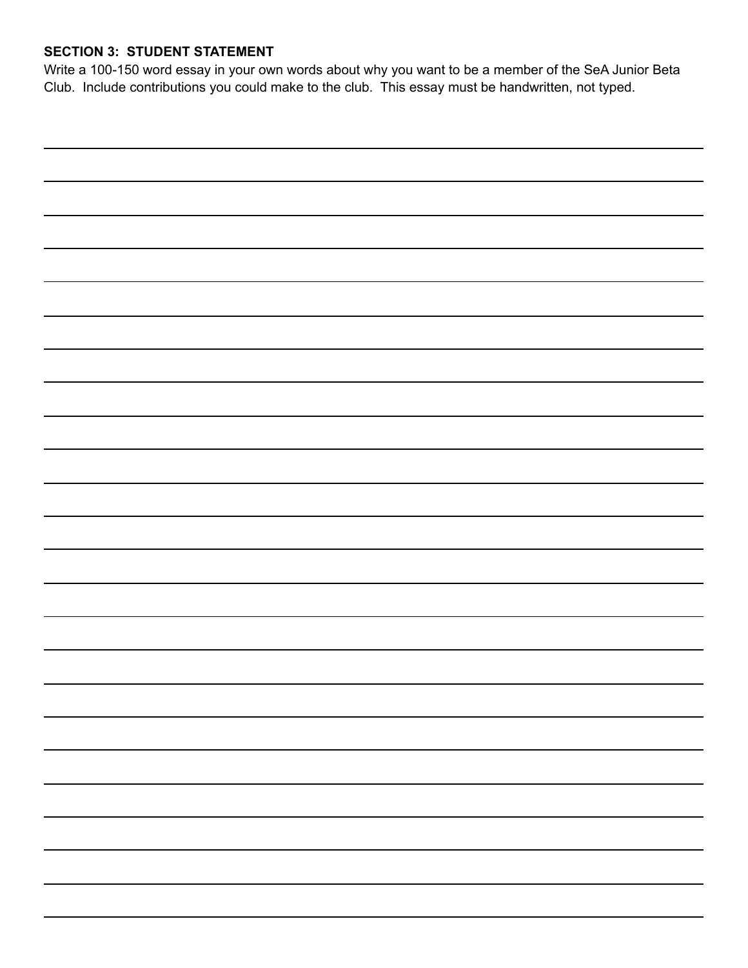# **SECTION 3: STUDENT STATEMENT**

Write a 100-150 word essay in your own words about why you want to be a member of the SeA Junior Beta Club. Include contributions you could make to the club. This essay must be handwritten, not typed.

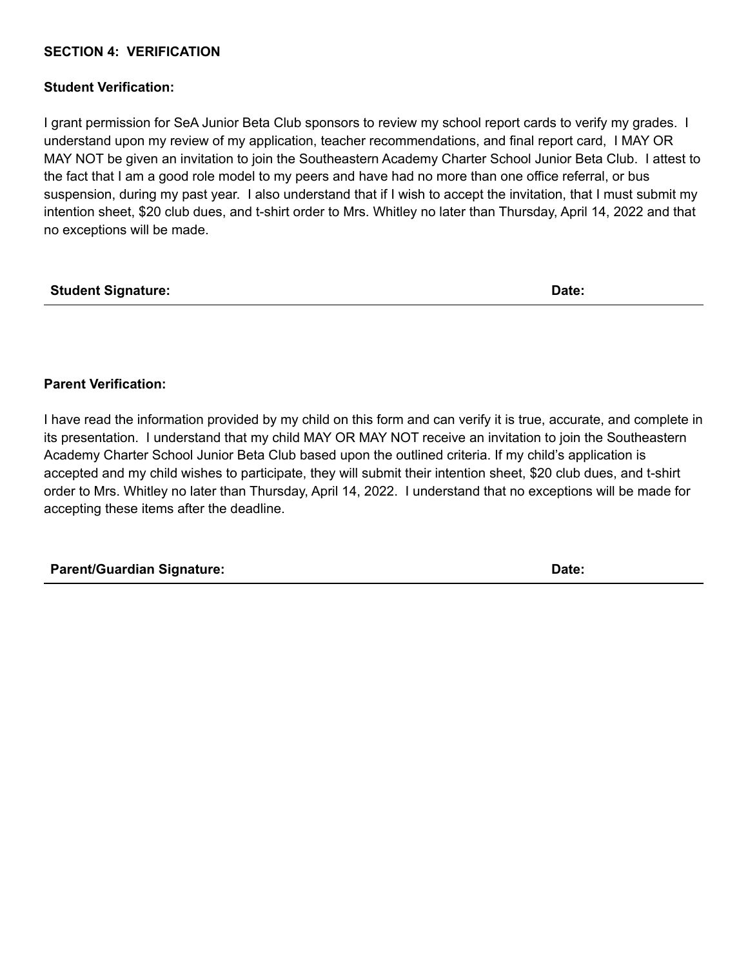### **SECTION 4: VERIFICATION**

#### **Student Verification:**

I grant permission for SeA Junior Beta Club sponsors to review my school report cards to verify my grades. I understand upon my review of my application, teacher recommendations, and final report card, I MAY OR MAY NOT be given an invitation to join the Southeastern Academy Charter School Junior Beta Club. I attest to the fact that I am a good role model to my peers and have had no more than one office referral, or bus suspension, during my past year. I also understand that if I wish to accept the invitation, that I must submit my intention sheet, \$20 club dues, and t-shirt order to Mrs. Whitley no later than Thursday, April 14, 2022 and that no exceptions will be made.

**Student Signature: Date:**

### **Parent Verification:**

I have read the information provided by my child on this form and can verify it is true, accurate, and complete in its presentation. I understand that my child MAY OR MAY NOT receive an invitation to join the Southeastern Academy Charter School Junior Beta Club based upon the outlined criteria. If my child's application is accepted and my child wishes to participate, they will submit their intention sheet, \$20 club dues, and t-shirt order to Mrs. Whitley no later than Thursday, April 14, 2022. I understand that no exceptions will be made for accepting these items after the deadline.

**Parent/Guardian Signature: Date:**